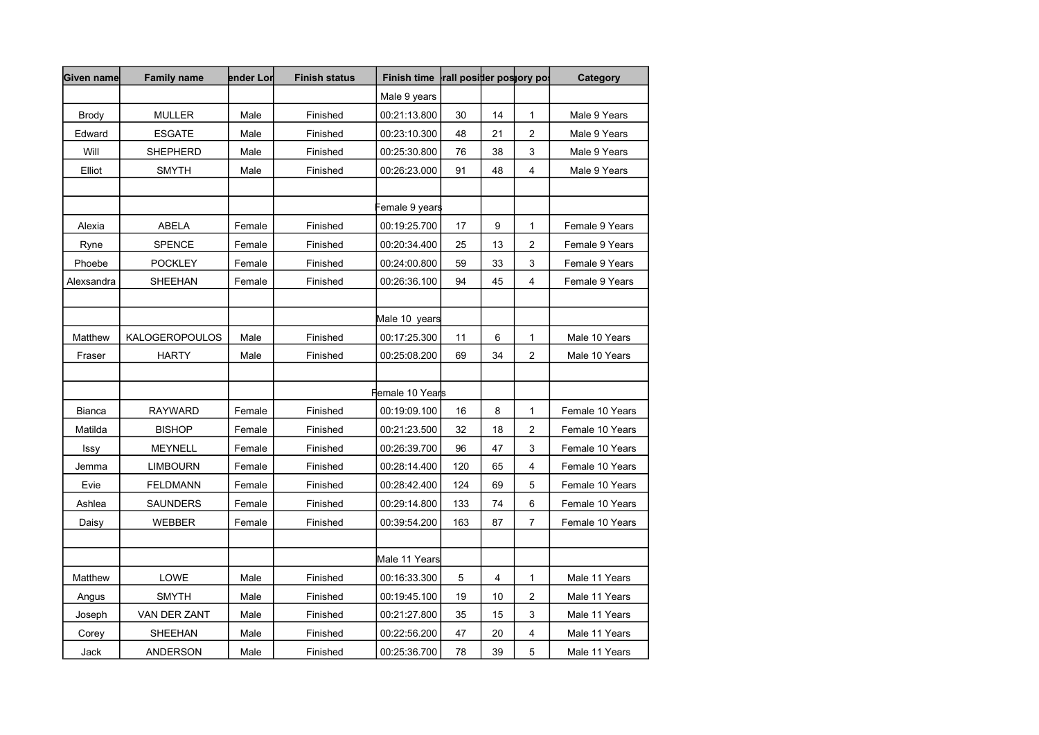| Given name    | <b>Family name</b>    | ender Lor | <b>Finish status</b> | <b>Finish time</b>         | rall positier postory pos |    |                         | Category        |
|---------------|-----------------------|-----------|----------------------|----------------------------|---------------------------|----|-------------------------|-----------------|
|               |                       |           |                      | Male 9 years               |                           |    |                         |                 |
| <b>Brody</b>  | <b>MULLER</b>         | Male      | Finished             | 00:21:13.800               | 30                        | 14 | 1                       | Male 9 Years    |
| Edward        | <b>ESGATE</b>         | Male      | Finished             | 00:23:10.300               | 48                        | 21 | $\overline{c}$          | Male 9 Years    |
| Will          | <b>SHEPHERD</b>       | Male      | Finished             | 00:25:30.800               | 76                        | 38 | 3                       | Male 9 Years    |
| Elliot        | <b>SMYTH</b>          | Male      | Finished             | 00:26:23.000               | 91                        | 48 | 4                       | Male 9 Years    |
|               |                       |           |                      |                            |                           |    |                         |                 |
|               |                       |           |                      | emale 9 years <sup>:</sup> |                           |    |                         |                 |
| Alexia        | <b>ABELA</b>          | Female    | Finished             | 00:19:25.700               | 17                        | 9  | 1                       | Female 9 Years  |
| Ryne          | <b>SPENCE</b>         | Female    | Finished             | 00:20:34.400               | 25                        | 13 | $\boldsymbol{2}$        | Female 9 Years  |
| Phoebe        | <b>POCKLEY</b>        | Female    | Finished             | 00:24:00.800               | 59                        | 33 | 3                       | Female 9 Years  |
| Alexsandra    | SHEEHAN               | Female    | Finished             | 00:26:36.100               | 94                        | 45 | 4                       | Female 9 Years  |
|               |                       |           |                      |                            |                           |    |                         |                 |
|               |                       |           |                      | Male 10 years              |                           |    |                         |                 |
| Matthew       | <b>KALOGEROPOULOS</b> | Male      | Finished             | 00:17:25.300               | 11                        | 6  | 1                       | Male 10 Years   |
| Fraser        | <b>HARTY</b>          | Male      | Finished             | 00:25:08.200               | 69                        | 34 | $\overline{c}$          | Male 10 Years   |
|               |                       |           |                      |                            |                           |    |                         |                 |
|               |                       |           |                      | Flemale 10 Yearls          |                           |    |                         |                 |
| <b>Bianca</b> | <b>RAYWARD</b>        | Female    | Finished             | 00:19:09.100               | 16                        | 8  | 1                       | Female 10 Years |
| Matilda       | <b>BISHOP</b>         | Female    | Finished             | 00:21:23.500               | 32                        | 18 | 2                       | Female 10 Years |
| Issy          | <b>MEYNELL</b>        | Female    | Finished             | 00:26:39.700               | 96                        | 47 | 3                       | Female 10 Years |
| Jemma         | <b>LIMBOURN</b>       | Female    | Finished             | 00:28:14.400               | 120                       | 65 | $\overline{\mathbf{4}}$ | Female 10 Years |
| Evie          | <b>FELDMANN</b>       | Female    | Finished             | 00:28:42.400               | 124                       | 69 | 5                       | Female 10 Years |
| Ashlea        | <b>SAUNDERS</b>       | Female    | Finished             | 00:29:14.800               | 133                       | 74 | 6                       | Female 10 Years |
| Daisy         | <b>WEBBER</b>         | Female    | Finished             | 00:39:54.200               | 163                       | 87 | $\overline{7}$          | Female 10 Years |
|               |                       |           |                      |                            |                           |    |                         |                 |
|               |                       |           |                      | Male 11 Years              |                           |    |                         |                 |
| Matthew       | LOWE                  | Male      | Finished             | 00:16:33.300               | 5                         | 4  | 1                       | Male 11 Years   |
| Angus         | <b>SMYTH</b>          | Male      | Finished             | 00:19:45.100               | 19                        | 10 | 2                       | Male 11 Years   |
| Joseph        | VAN DER ZANT          | Male      | Finished             | 00:21:27.800               | 35                        | 15 | 3                       | Male 11 Years   |
| Corey         | <b>SHEEHAN</b>        | Male      | Finished             | 00:22:56.200               | 47                        | 20 | 4                       | Male 11 Years   |
| Jack          | ANDERSON              | Male      | Finished             | 00:25:36.700               | 78                        | 39 | 5                       | Male 11 Years   |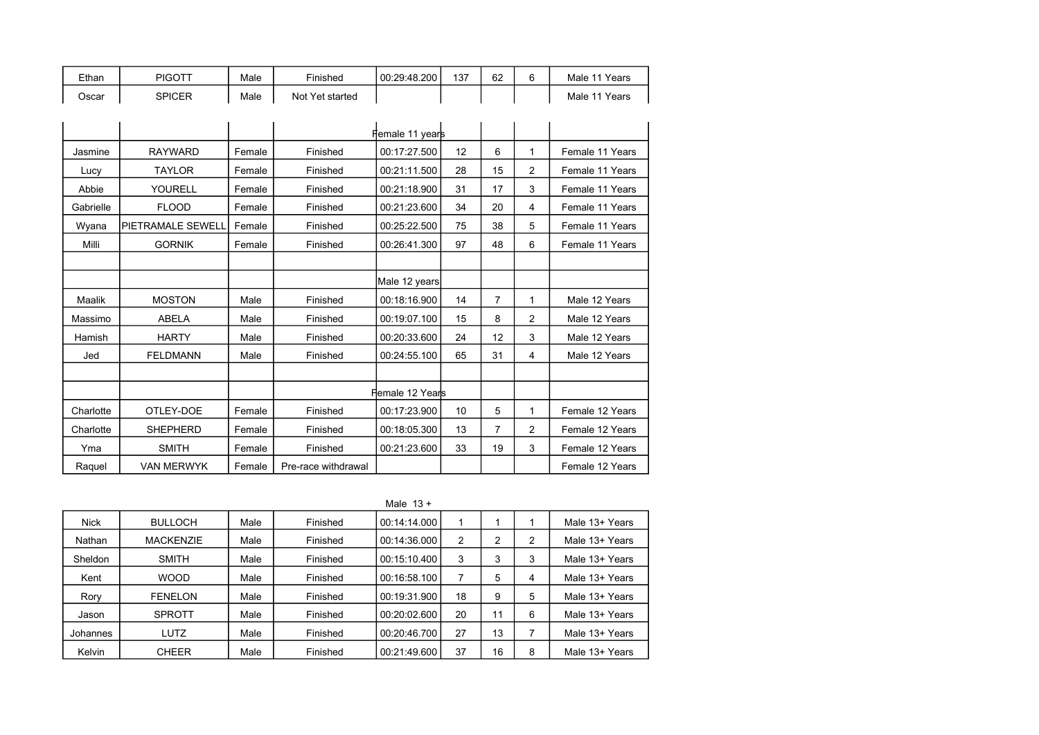| Ethan | PIGOTT | Male | Finished        | 00:29:48.200 | 137 | 62 | <sup>1</sup> Years<br>Male  |
|-------|--------|------|-----------------|--------------|-----|----|-----------------------------|
| Oscar | SPICER | Male | Not Yet started |              |     |    | <sup>14</sup> Years<br>Male |

|           |                   |        |                     | Fremale 11 years |    |                |   |                 |
|-----------|-------------------|--------|---------------------|------------------|----|----------------|---|-----------------|
| Jasmine   | <b>RAYWARD</b>    | Female | Finished            | 00:17:27.500     | 12 | 6              | 1 | Female 11 Years |
| Lucy      | <b>TAYLOR</b>     | Female | Finished            | 00:21:11.500     | 28 | 15             | 2 | Female 11 Years |
| Abbie     | YOURELL           | Female | Finished            | 00:21:18.900     | 31 | 17             | 3 | Female 11 Years |
| Gabrielle | <b>FLOOD</b>      | Female | Finished            | 00:21:23.600     | 34 | 20             | 4 | Female 11 Years |
| Wyana     | PIETRAMALE SEWELL | Female | Finished            | 00:25:22.500     | 75 | 38             | 5 | Female 11 Years |
| Milli     | <b>GORNIK</b>     | Female | Finished            | 00:26:41.300     | 97 | 48             | 6 | Female 11 Years |
|           |                   |        |                     |                  |    |                |   |                 |
|           |                   |        |                     | Male 12 years    |    |                |   |                 |
| Maalik    | <b>MOSTON</b>     | Male   | Finished            | 00:18:16.900     | 14 | $\overline{7}$ | 1 | Male 12 Years   |
| Massimo   | <b>ABELA</b>      | Male   | Finished            | 00:19:07.100     | 15 | 8              | 2 | Male 12 Years   |
| Hamish    | <b>HARTY</b>      | Male   | Finished            | 00:20:33.600     | 24 | 12             | 3 | Male 12 Years   |
| Jed       | <b>FELDMANN</b>   | Male   | Finished            | 00:24:55.100     | 65 | 31             | 4 | Male 12 Years   |
|           |                   |        |                     |                  |    |                |   |                 |
|           |                   |        |                     | Flemale 12 Years |    |                |   |                 |
| Charlotte | OTLEY-DOE         | Female | Finished            | 00:17:23.900     | 10 | 5              | 1 | Female 12 Years |
| Charlotte | <b>SHEPHERD</b>   | Female | Finished            | 00:18:05.300     | 13 | 7              | 2 | Female 12 Years |
| Yma       | <b>SMITH</b>      | Female | Finished            | 00:21:23.600     | 33 | 19             | 3 | Female 12 Years |
| Raquel    | <b>VAN MERWYK</b> | Female | Pre-race withdrawal |                  |    |                |   | Female 12 Years |

|             |                  |      |          | Male $13 +$  |    |    |   |                |
|-------------|------------------|------|----------|--------------|----|----|---|----------------|
| <b>Nick</b> | <b>BULLOCH</b>   | Male | Finished | 00:14:14.000 |    |    |   | Male 13+ Years |
| Nathan      | <b>MACKENZIE</b> | Male | Finished | 00:14:36.000 | 2  | 2  | 2 | Male 13+ Years |
| Sheldon     | <b>SMITH</b>     | Male | Finished | 00:15:10.400 | 3  | 3  | 3 | Male 13+ Years |
| Kent        | <b>WOOD</b>      | Male | Finished | 00:16:58.100 |    | 5  | 4 | Male 13+ Years |
| Rory        | <b>FENELON</b>   | Male | Finished | 00:19:31.900 | 18 | 9  | 5 | Male 13+ Years |
| Jason       | <b>SPROTT</b>    | Male | Finished | 00:20:02.600 | 20 | 11 | 6 | Male 13+ Years |
| Johannes    | LUTZ             | Male | Finished | 00:20:46.700 | 27 | 13 | 7 | Male 13+ Years |
| Kelvin      | <b>CHEER</b>     | Male | Finished | 00:21:49.600 | 37 | 16 | 8 | Male 13+ Years |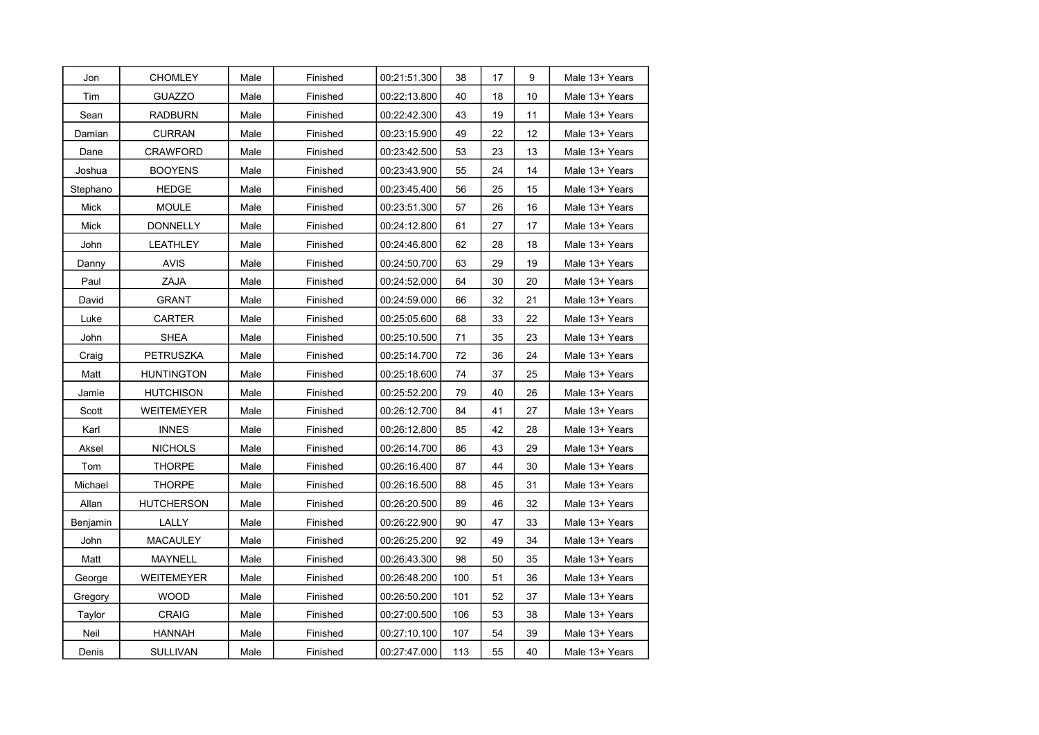| Jon      | <b>CHOMLEY</b>    | Male | Finished | 00:21:51.300 | 38  | 17 | 9  | Male 13+ Years |
|----------|-------------------|------|----------|--------------|-----|----|----|----------------|
| Tim      | <b>GUAZZO</b>     | Male | Finished | 00:22:13.800 | 40  | 18 | 10 | Male 13+ Years |
| Sean     | RADBURN           | Male | Finished | 00:22:42.300 | 43  | 19 | 11 | Male 13+ Years |
| Damian   | <b>CURRAN</b>     | Male | Finished | 00:23:15.900 | 49  | 22 | 12 | Male 13+ Years |
| Dane     | <b>CRAWFORD</b>   | Male | Finished | 00:23:42.500 | 53  | 23 | 13 | Male 13+ Years |
| Joshua   | <b>BOOYENS</b>    | Male | Finished | 00:23:43.900 | 55  | 24 | 14 | Male 13+ Years |
| Stephano | <b>HEDGE</b>      | Male | Finished | 00:23:45.400 | 56  | 25 | 15 | Male 13+ Years |
| Mick     | <b>MOULE</b>      | Male | Finished | 00:23:51.300 | 57  | 26 | 16 | Male 13+ Years |
| Mick     | DONNELLY          | Male | Finished | 00:24:12.800 | 61  | 27 | 17 | Male 13+ Years |
| John     | LEATHLEY          | Male | Finished | 00:24:46.800 | 62  | 28 | 18 | Male 13+ Years |
| Danny    | <b>AVIS</b>       | Male | Finished | 00:24:50.700 | 63  | 29 | 19 | Male 13+ Years |
| Paul     | ZAJA              | Male | Finished | 00:24:52.000 | 64  | 30 | 20 | Male 13+ Years |
| David    | <b>GRANT</b>      | Male | Finished | 00:24:59.000 | 66  | 32 | 21 | Male 13+ Years |
| Luke     | CARTER            | Male | Finished | 00:25:05.600 | 68  | 33 | 22 | Male 13+ Years |
| John     | SHEA              | Male | Finished | 00:25:10.500 | 71  | 35 | 23 | Male 13+ Years |
| Craig    | PETRUSZKA         | Male | Finished | 00:25:14.700 | 72  | 36 | 24 | Male 13+ Years |
| Matt     | <b>HUNTINGTON</b> | Male | Finished | 00:25:18.600 | 74  | 37 | 25 | Male 13+ Years |
| Jamie    | <b>HUTCHISON</b>  | Male | Finished | 00:25:52.200 | 79  | 40 | 26 | Male 13+ Years |
| Scott    | WEITEMEYER        | Male | Finished | 00:26:12.700 | 84  | 41 | 27 | Male 13+ Years |
| Karl     | <b>INNES</b>      | Male | Finished | 00:26:12.800 | 85  | 42 | 28 | Male 13+ Years |
| Aksel    | <b>NICHOLS</b>    | Male | Finished | 00:26:14.700 | 86  | 43 | 29 | Male 13+ Years |
| Tom      | <b>THORPE</b>     | Male | Finished | 00:26:16.400 | 87  | 44 | 30 | Male 13+ Years |
| Michael  | THORPE            | Male | Finished | 00:26:16.500 | 88  | 45 | 31 | Male 13+ Years |
| Allan    | <b>HUTCHERSON</b> | Male | Finished | 00:26:20.500 | 89  | 46 | 32 | Male 13+ Years |
| Benjamin | LALLY             | Male | Finished | 00:26:22.900 | 90  | 47 | 33 | Male 13+ Years |
| John     | <b>MACAULEY</b>   | Male | Finished | 00:26:25.200 | 92  | 49 | 34 | Male 13+ Years |
| Matt     | <b>MAYNELL</b>    | Male | Finished | 00:26:43.300 | 98  | 50 | 35 | Male 13+ Years |
| George   | WEITEMEYER        | Male | Finished | 00:26:48.200 | 100 | 51 | 36 | Male 13+ Years |
| Gregory  | <b>WOOD</b>       | Male | Finished | 00:26:50.200 | 101 | 52 | 37 | Male 13+ Years |
| Taylor   | <b>CRAIG</b>      | Male | Finished | 00:27:00.500 | 106 | 53 | 38 | Male 13+ Years |
| Neil     | <b>HANNAH</b>     | Male | Finished | 00:27:10.100 | 107 | 54 | 39 | Male 13+ Years |
| Denis    | <b>SULLIVAN</b>   | Male | Finished | 00:27:47.000 | 113 | 55 | 40 | Male 13+ Years |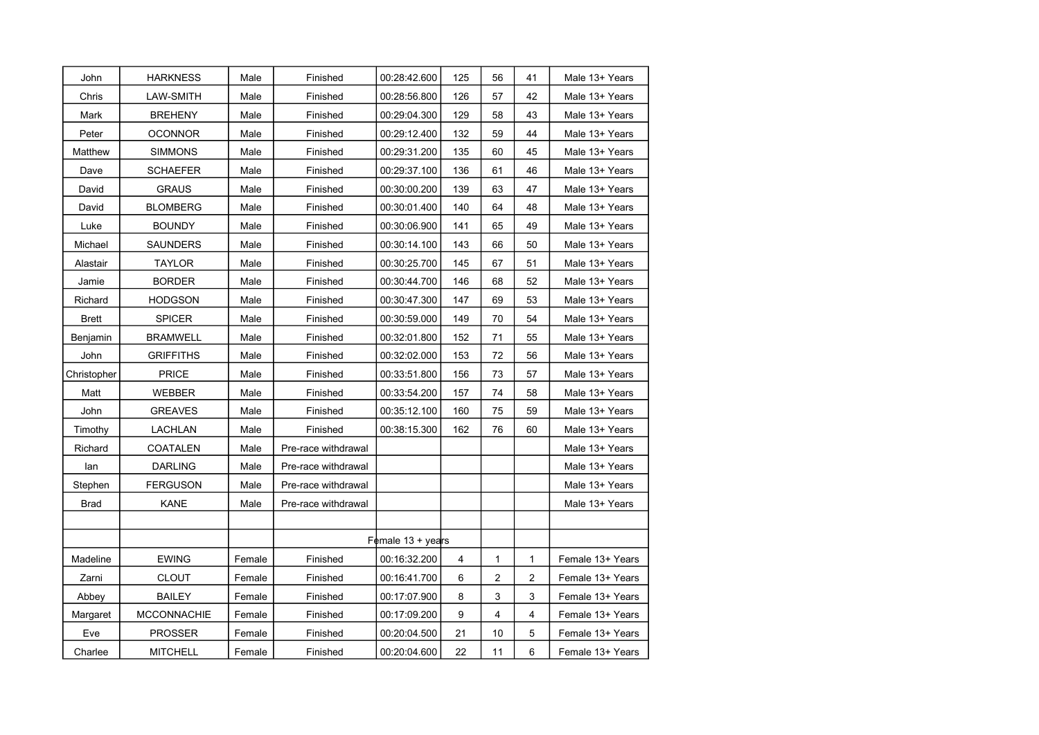| John         | <b>HARKNESS</b>    | Male   | Finished            | 00:28:42.600               | 125 | 56             | 41         | Male 13+ Years   |
|--------------|--------------------|--------|---------------------|----------------------------|-----|----------------|------------|------------------|
| Chris        | LAW-SMITH          | Male   | Finished            | 00:28:56.800               | 126 | 57             | 42         | Male 13+ Years   |
| Mark         | <b>BREHENY</b>     | Male   | Finished            | 00:29:04.300               | 129 | 58             | 43         | Male 13+ Years   |
| Peter        | <b>OCONNOR</b>     | Male   | Finished            | 00:29:12.400               | 132 | 59             | 44         | Male 13+ Years   |
| Matthew      | <b>SIMMONS</b>     | Male   | Finished            | 00:29:31.200               | 135 | 60             | 45         | Male 13+ Years   |
| Dave         | SCHAEFER           | Male   | Finished            | 00:29:37.100               | 136 | 61             | 46         | Male 13+ Years   |
| David        | <b>GRAUS</b>       | Male   | Finished            | 00:30:00.200               | 139 | 63             | 47         | Male 13+ Years   |
| David        | <b>BLOMBERG</b>    | Male   | Finished            | 00:30:01.400               | 140 | 64             | 48         | Male 13+ Years   |
| Luke         | <b>BOUNDY</b>      | Male   | Finished            | 00:30:06.900               | 141 | 65             | 49         | Male 13+ Years   |
| Michael      | <b>SAUNDERS</b>    | Male   | Finished            | 00:30:14.100               | 143 | 66             | 50         | Male 13+ Years   |
| Alastair     | <b>TAYLOR</b>      | Male   | Finished            | 00:30:25.700               | 145 | 67             | 51         | Male 13+ Years   |
| Jamie        | <b>BORDER</b>      | Male   | Finished            | 00:30:44.700               | 146 | 68             | 52         | Male 13+ Years   |
| Richard      | <b>HODGSON</b>     | Male   | Finished            | 00:30:47.300               | 147 | 69             | 53         | Male 13+ Years   |
| <b>Brett</b> | <b>SPICER</b>      | Male   | Finished            | 00:30:59.000               | 149 | 70             | 54         | Male 13+ Years   |
| Benjamin     | <b>BRAMWELL</b>    | Male   | Finished            | 00:32:01.800               | 152 | 71             | 55         | Male 13+ Years   |
| John         | <b>GRIFFITHS</b>   | Male   | Finished            | 00:32:02.000               | 153 | 72             | 56         | Male 13+ Years   |
| Christopher  | PRICE              | Male   | Finished            | 00:33:51.800               | 156 | 73             | 57         | Male 13+ Years   |
| Matt         | WEBBER             | Male   | Finished            | 00:33:54.200               | 157 | 74             | 58         | Male 13+ Years   |
| John         | <b>GREAVES</b>     | Male   | Finished            | 00:35:12.100               | 160 | 75             | 59         | Male 13+ Years   |
| Timothy      | <b>LACHLAN</b>     | Male   | Finished            | 00:38:15.300               | 162 | 76             | 60         | Male 13+ Years   |
| Richard      | <b>COATALEN</b>    | Male   | Pre-race withdrawal |                            |     |                |            | Male 13+ Years   |
| lan          | <b>DARLING</b>     | Male   | Pre-race withdrawal |                            |     |                |            | Male 13+ Years   |
| Stephen      | <b>FERGUSON</b>    | Male   | Pre-race withdrawal |                            |     |                |            | Male 13+ Years   |
| <b>Brad</b>  | KANE               | Male   | Pre-race withdrawal |                            |     |                |            | Male 13+ Years   |
|              |                    |        |                     |                            |     |                |            |                  |
|              |                    |        |                     | Female $13 + \text{years}$ |     |                |            |                  |
| Madeline     | <b>EWING</b>       | Female | Finished            | 00:16:32.200               | 4   | 1              | 1          | Female 13+ Years |
| Zarni        | <b>CLOUT</b>       | Female | Finished            | 00:16:41.700               | 6   | $\overline{c}$ | 2          | Female 13+ Years |
| Abbey        | <b>BAILEY</b>      | Female | Finished            | 00:17:07.900               | 8   | 3              | 3          | Female 13+ Years |
| Margaret     | <b>MCCONNACHIE</b> | Female | Finished            | 00:17:09.200               | 9   | 4              | 4          | Female 13+ Years |
| Eve          | <b>PROSSER</b>     | Female | Finished            | 00:20:04.500               | 21  | 10             | $\sqrt{5}$ | Female 13+ Years |
| Charlee      | <b>MITCHELL</b>    | Female | Finished            | 00:20:04.600               | 22  | 11             | 6          | Female 13+ Years |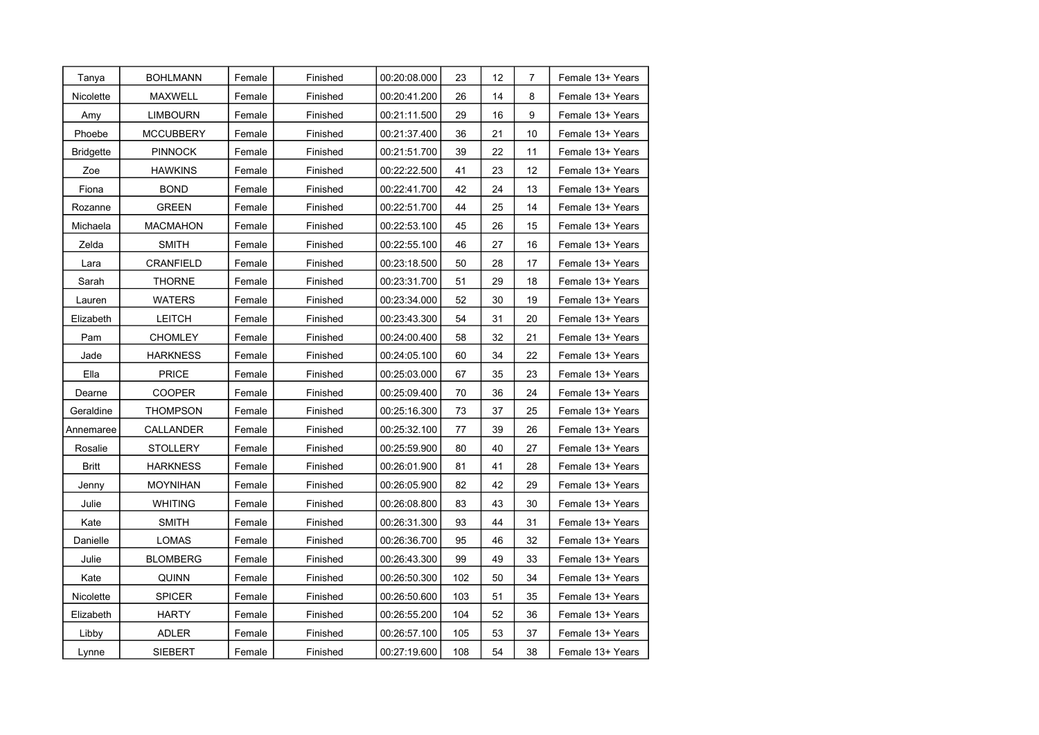| Tanya            | <b>BOHLMANN</b>  | Female | Finished | 00:20:08.000 | 23  | 12 | $\overline{7}$ | Female 13+ Years |
|------------------|------------------|--------|----------|--------------|-----|----|----------------|------------------|
| Nicolette        | <b>MAXWELL</b>   | Female | Finished | 00:20:41.200 | 26  | 14 | 8              | Female 13+ Years |
| Amy              | <b>LIMBOURN</b>  | Female | Finished | 00:21:11.500 | 29  | 16 | 9              | Female 13+ Years |
| Phoebe           | <b>MCCUBBERY</b> | Female | Finished | 00:21:37.400 | 36  | 21 | 10             | Female 13+ Years |
| <b>Bridgette</b> | <b>PINNOCK</b>   | Female | Finished | 00:21:51.700 | 39  | 22 | 11             | Female 13+ Years |
| Zoe              | <b>HAWKINS</b>   | Female | Finished | 00:22:22.500 | 41  | 23 | 12             | Female 13+ Years |
| Fiona            | <b>BOND</b>      | Female | Finished | 00:22:41.700 | 42  | 24 | 13             | Female 13+ Years |
| Rozanne          | <b>GREEN</b>     | Female | Finished | 00:22:51.700 | 44  | 25 | 14             | Female 13+ Years |
| Michaela         | MACMAHON         | Female | Finished | 00:22:53.100 | 45  | 26 | 15             | Female 13+ Years |
| Zelda            | <b>SMITH</b>     | Female | Finished | 00:22:55.100 | 46  | 27 | 16             | Female 13+ Years |
| Lara             | CRANFIELD        | Female | Finished | 00:23:18.500 | 50  | 28 | 17             | Female 13+ Years |
| Sarah            | <b>THORNE</b>    | Female | Finished | 00:23:31.700 | 51  | 29 | 18             | Female 13+ Years |
| Lauren           | <b>WATERS</b>    | Female | Finished | 00:23:34.000 | 52  | 30 | 19             | Female 13+ Years |
| Elizabeth        | <b>LEITCH</b>    | Female | Finished | 00:23:43.300 | 54  | 31 | 20             | Female 13+ Years |
| Pam              | CHOMLEY          | Female | Finished | 00:24:00.400 | 58  | 32 | 21             | Female 13+ Years |
| Jade             | <b>HARKNESS</b>  | Female | Finished | 00:24:05.100 | 60  | 34 | 22             | Female 13+ Years |
| Ella             | <b>PRICE</b>     | Female | Finished | 00:25:03.000 | 67  | 35 | 23             | Female 13+ Years |
| Dearne           | <b>COOPER</b>    | Female | Finished | 00:25:09.400 | 70  | 36 | 24             | Female 13+ Years |
| Geraldine        | <b>THOMPSON</b>  | Female | Finished | 00:25:16.300 | 73  | 37 | 25             | Female 13+ Years |
| Annemaree        | CALLANDER        | Female | Finished | 00:25:32.100 | 77  | 39 | 26             | Female 13+ Years |
| Rosalie          | <b>STOLLERY</b>  | Female | Finished | 00:25:59.900 | 80  | 40 | 27             | Female 13+ Years |
| <b>Britt</b>     | <b>HARKNESS</b>  | Female | Finished | 00:26:01.900 | 81  | 41 | 28             | Female 13+ Years |
| Jenny            | <b>MOYNIHAN</b>  | Female | Finished | 00:26:05.900 | 82  | 42 | 29             | Female 13+ Years |
| Julie            | <b>WHITING</b>   | Female | Finished | 00:26:08.800 | 83  | 43 | 30             | Female 13+ Years |
| Kate             | <b>SMITH</b>     | Female | Finished | 00:26:31.300 | 93  | 44 | 31             | Female 13+ Years |
| Danielle         | <b>LOMAS</b>     | Female | Finished | 00:26:36.700 | 95  | 46 | 32             | Female 13+ Years |
| Julie            | <b>BLOMBERG</b>  | Female | Finished | 00:26:43.300 | 99  | 49 | 33             | Female 13+ Years |
| Kate             | <b>QUINN</b>     | Female | Finished | 00:26:50.300 | 102 | 50 | 34             | Female 13+ Years |
| Nicolette        | <b>SPICER</b>    | Female | Finished | 00:26:50.600 | 103 | 51 | 35             | Female 13+ Years |
| Elizabeth        | <b>HARTY</b>     | Female | Finished | 00:26:55.200 | 104 | 52 | 36             | Female 13+ Years |
| Libby            | <b>ADLER</b>     | Female | Finished | 00:26:57.100 | 105 | 53 | 37             | Female 13+ Years |
| Lynne            | <b>SIEBERT</b>   | Female | Finished | 00:27:19.600 | 108 | 54 | 38             | Female 13+ Years |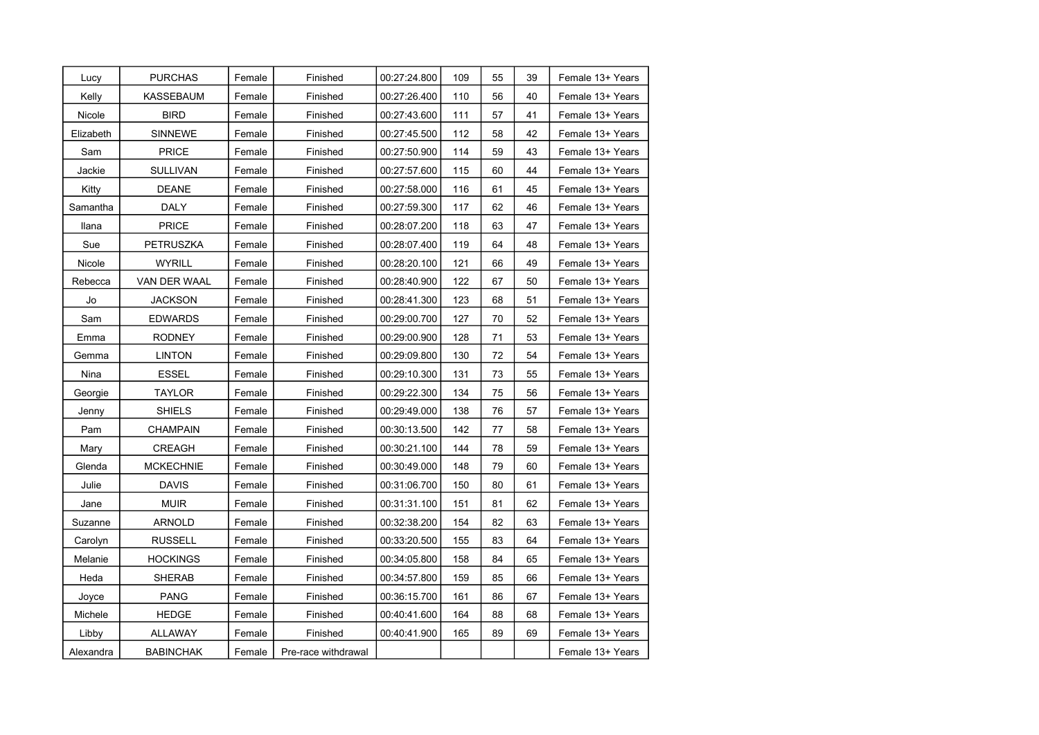| Lucy      | <b>PURCHAS</b>   | Female | Finished            | 00:27:24.800 | 109 | 55 | 39 | Female 13+ Years |
|-----------|------------------|--------|---------------------|--------------|-----|----|----|------------------|
| Kelly     | KASSEBAUM        | Female | Finished            | 00:27:26.400 | 110 | 56 | 40 | Female 13+ Years |
| Nicole    | <b>BIRD</b>      | Female | Finished            | 00:27:43.600 | 111 | 57 | 41 | Female 13+ Years |
| Elizabeth | <b>SINNEWE</b>   | Female | Finished            | 00:27:45.500 | 112 | 58 | 42 | Female 13+ Years |
| Sam       | <b>PRICE</b>     | Female | Finished            | 00:27:50.900 | 114 | 59 | 43 | Female 13+ Years |
| Jackie    | SULLIVAN         | Female | Finished            | 00:27:57.600 | 115 | 60 | 44 | Female 13+ Years |
| Kitty     | <b>DEANE</b>     | Female | Finished            | 00:27:58.000 | 116 | 61 | 45 | Female 13+ Years |
| Samantha  | <b>DALY</b>      | Female | Finished            | 00:27:59.300 | 117 | 62 | 46 | Female 13+ Years |
| Ilana     | <b>PRICE</b>     | Female | Finished            | 00:28:07.200 | 118 | 63 | 47 | Female 13+ Years |
| Sue       | PETRUSZKA        | Female | Finished            | 00:28:07.400 | 119 | 64 | 48 | Female 13+ Years |
| Nicole    | <b>WYRILL</b>    | Female | Finished            | 00:28:20.100 | 121 | 66 | 49 | Female 13+ Years |
| Rebecca   | VAN DER WAAL     | Female | Finished            | 00:28:40.900 | 122 | 67 | 50 | Female 13+ Years |
| Jo        | <b>JACKSON</b>   | Female | Finished            | 00:28:41.300 | 123 | 68 | 51 | Female 13+ Years |
| Sam       | <b>EDWARDS</b>   | Female | Finished            | 00:29:00.700 | 127 | 70 | 52 | Female 13+ Years |
| Emma      | <b>RODNEY</b>    | Female | Finished            | 00:29:00.900 | 128 | 71 | 53 | Female 13+ Years |
| Gemma     | <b>LINTON</b>    | Female | Finished            | 00:29:09.800 | 130 | 72 | 54 | Female 13+ Years |
| Nina      | <b>ESSEL</b>     | Female | Finished            | 00:29:10.300 | 131 | 73 | 55 | Female 13+ Years |
| Georgie   | TAYLOR           | Female | Finished            | 00:29:22.300 | 134 | 75 | 56 | Female 13+ Years |
| Jenny     | <b>SHIELS</b>    | Female | Finished            | 00:29:49.000 | 138 | 76 | 57 | Female 13+ Years |
| Pam       | <b>CHAMPAIN</b>  | Female | Finished            | 00:30:13.500 | 142 | 77 | 58 | Female 13+ Years |
| Mary      | <b>CREAGH</b>    | Female | Finished            | 00:30:21.100 | 144 | 78 | 59 | Female 13+ Years |
| Glenda    | <b>MCKECHNIE</b> | Female | Finished            | 00:30:49.000 | 148 | 79 | 60 | Female 13+ Years |
| Julie     | <b>DAVIS</b>     | Female | Finished            | 00:31:06.700 | 150 | 80 | 61 | Female 13+ Years |
| Jane      | <b>MUIR</b>      | Female | Finished            | 00:31:31.100 | 151 | 81 | 62 | Female 13+ Years |
| Suzanne   | <b>ARNOLD</b>    | Female | Finished            | 00:32:38.200 | 154 | 82 | 63 | Female 13+ Years |
| Carolyn   | <b>RUSSELL</b>   | Female | Finished            | 00:33:20.500 | 155 | 83 | 64 | Female 13+ Years |
| Melanie   | HOCKINGS         | Female | Finished            | 00:34:05.800 | 158 | 84 | 65 | Female 13+ Years |
| Heda      | <b>SHERAB</b>    | Female | Finished            | 00:34:57.800 | 159 | 85 | 66 | Female 13+ Years |
| Joyce     | <b>PANG</b>      | Female | Finished            | 00:36:15.700 | 161 | 86 | 67 | Female 13+ Years |
| Michele   | HEDGE            | Female | Finished            | 00:40:41.600 | 164 | 88 | 68 | Female 13+ Years |
| Libby     | <b>ALLAWAY</b>   | Female | Finished            | 00:40:41.900 | 165 | 89 | 69 | Female 13+ Years |
| Alexandra | <b>BABINCHAK</b> | Female | Pre-race withdrawal |              |     |    |    | Female 13+ Years |